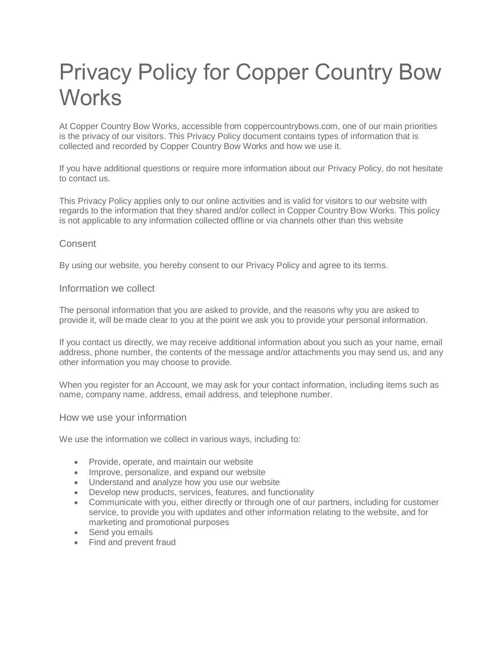# Privacy Policy for Copper Country Bow **Works**

At Copper Country Bow Works, accessible from coppercountrybows.com, one of our main priorities is the privacy of our visitors. This Privacy Policy document contains types of information that is collected and recorded by Copper Country Bow Works and how we use it.

If you have additional questions or require more information about our Privacy Policy, do not hesitate to contact us.

This Privacy Policy applies only to our online activities and is valid for visitors to our website with regards to the information that they shared and/or collect in Copper Country Bow Works. This policy is not applicable to any information collected offline or via channels other than this website

## **Consent**

By using our website, you hereby consent to our Privacy Policy and agree to its terms.

#### Information we collect

The personal information that you are asked to provide, and the reasons why you are asked to provide it, will be made clear to you at the point we ask you to provide your personal information.

If you contact us directly, we may receive additional information about you such as your name, email address, phone number, the contents of the message and/or attachments you may send us, and any other information you may choose to provide.

When you register for an Account, we may ask for your contact information, including items such as name, company name, address, email address, and telephone number.

#### How we use your information

We use the information we collect in various ways, including to:

- Provide, operate, and maintain our website
- Improve, personalize, and expand our website
- Understand and analyze how you use our website
- Develop new products, services, features, and functionality
- Communicate with you, either directly or through one of our partners, including for customer service, to provide you with updates and other information relating to the website, and for marketing and promotional purposes
- Send you emails
- Find and prevent fraud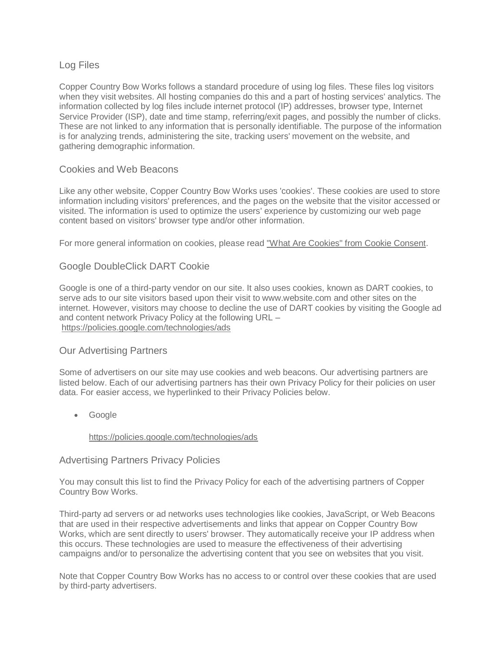# Log Files

Copper Country Bow Works follows a standard procedure of using log files. These files log visitors when they visit websites. All hosting companies do this and a part of hosting services' analytics. The information collected by log files include internet protocol (IP) addresses, browser type, Internet Service Provider (ISP), date and time stamp, referring/exit pages, and possibly the number of clicks. These are not linked to any information that is personally identifiable. The purpose of the information is for analyzing trends, administering the site, tracking users' movement on the website, and gathering demographic information.

## Cookies and Web Beacons

Like any other website, Copper Country Bow Works uses 'cookies'. These cookies are used to store information including visitors' preferences, and the pages on the website that the visitor accessed or visited. The information is used to optimize the users' experience by customizing our web page content based on visitors' browser type and/or other information.

For more general information on cookies, please read ["What Are Cookies" from Cookie Consent.](https://www.privacypolicyonline.com/what-are-cookies/)

# Google DoubleClick DART Cookie

Google is one of a third-party vendor on our site. It also uses cookies, known as DART cookies, to serve ads to our site visitors based upon their visit to www.website.com and other sites on the internet. However, visitors may choose to decline the use of DART cookies by visiting the Google ad and content network Privacy Policy at the following URL – <https://policies.google.com/technologies/ads>

## Our Advertising Partners

Some of advertisers on our site may use cookies and web beacons. Our advertising partners are listed below. Each of our advertising partners has their own Privacy Policy for their policies on user data. For easier access, we hyperlinked to their Privacy Policies below.

• Google

#### <https://policies.google.com/technologies/ads>

#### Advertising Partners Privacy Policies

You may consult this list to find the Privacy Policy for each of the advertising partners of Copper Country Bow Works.

Third-party ad servers or ad networks uses technologies like cookies, JavaScript, or Web Beacons that are used in their respective advertisements and links that appear on Copper Country Bow Works, which are sent directly to users' browser. They automatically receive your IP address when this occurs. These technologies are used to measure the effectiveness of their advertising campaigns and/or to personalize the advertising content that you see on websites that you visit.

Note that Copper Country Bow Works has no access to or control over these cookies that are used by third-party advertisers.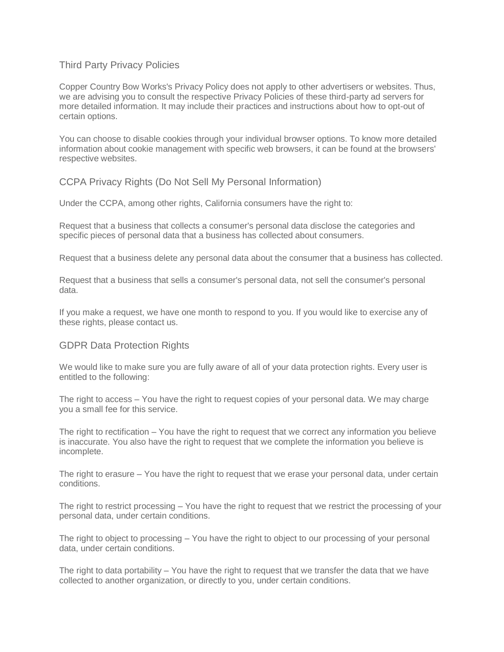## Third Party Privacy Policies

Copper Country Bow Works's Privacy Policy does not apply to other advertisers or websites. Thus, we are advising you to consult the respective Privacy Policies of these third-party ad servers for more detailed information. It may include their practices and instructions about how to opt-out of certain options.

You can choose to disable cookies through your individual browser options. To know more detailed information about cookie management with specific web browsers, it can be found at the browsers' respective websites.

CCPA Privacy Rights (Do Not Sell My Personal Information)

Under the CCPA, among other rights, California consumers have the right to:

Request that a business that collects a consumer's personal data disclose the categories and specific pieces of personal data that a business has collected about consumers.

Request that a business delete any personal data about the consumer that a business has collected.

Request that a business that sells a consumer's personal data, not sell the consumer's personal data.

If you make a request, we have one month to respond to you. If you would like to exercise any of these rights, please contact us.

## GDPR Data Protection Rights

We would like to make sure you are fully aware of all of your data protection rights. Every user is entitled to the following:

The right to access – You have the right to request copies of your personal data. We may charge you a small fee for this service.

The right to rectification – You have the right to request that we correct any information you believe is inaccurate. You also have the right to request that we complete the information you believe is incomplete.

The right to erasure – You have the right to request that we erase your personal data, under certain conditions.

The right to restrict processing – You have the right to request that we restrict the processing of your personal data, under certain conditions.

The right to object to processing – You have the right to object to our processing of your personal data, under certain conditions.

The right to data portability – You have the right to request that we transfer the data that we have collected to another organization, or directly to you, under certain conditions.